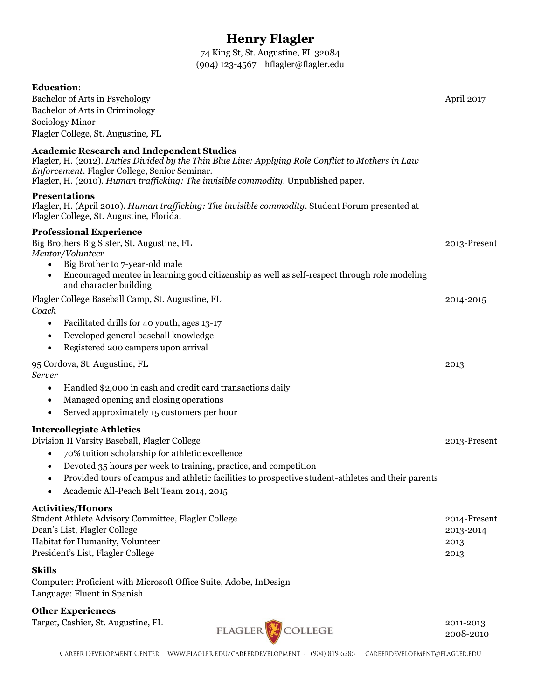# **Henry Flagler**

74 King St, St. Augustine, FL 32084 (904) 123-4567 hflagler@flagler.edu

| <b>Education:</b><br>Bachelor of Arts in Psychology<br>Bachelor of Arts in Criminology<br>Sociology Minor<br>Flagler College, St. Augustine, FL                                                                                                                                                                                                                                     | April 2017                                |
|-------------------------------------------------------------------------------------------------------------------------------------------------------------------------------------------------------------------------------------------------------------------------------------------------------------------------------------------------------------------------------------|-------------------------------------------|
| <b>Academic Research and Independent Studies</b><br>Flagler, H. (2012). Duties Divided by the Thin Blue Line: Applying Role Conflict to Mothers in Law<br>Enforcement. Flagler College, Senior Seminar.<br>Flagler, H. (2010). Human trafficking: The invisible commodity. Unpublished paper.                                                                                       |                                           |
| <b>Presentations</b><br>Flagler, H. (April 2010). Human trafficking: The invisible commodity. Student Forum presented at<br>Flagler College, St. Augustine, Florida.                                                                                                                                                                                                                |                                           |
| <b>Professional Experience</b><br>Big Brothers Big Sister, St. Augustine, FL<br>Mentor/Volunteer<br>Big Brother to 7-year-old male<br>Encouraged mentee in learning good citizenship as well as self-respect through role modeling<br>and character building                                                                                                                        | 2013-Present                              |
| Flagler College Baseball Camp, St. Augustine, FL<br>Coach<br>Facilitated drills for 40 youth, ages 13-17<br>$\bullet$<br>Developed general baseball knowledge<br>$\bullet$<br>Registered 200 campers upon arrival<br>$\bullet$                                                                                                                                                      | 2014-2015                                 |
| 95 Cordova, St. Augustine, FL<br>Server<br>Handled \$2,000 in cash and credit card transactions daily<br>$\bullet$<br>Managed opening and closing operations<br>$\bullet$<br>Served approximately 15 customers per hour<br>$\bullet$                                                                                                                                                | 2013                                      |
| <b>Intercollegiate Athletics</b><br>Division II Varsity Baseball, Flagler College<br>70% tuition scholarship for athletic excellence<br>$\bullet$<br>Devoted 35 hours per week to training, practice, and competition<br>$\bullet$<br>Provided tours of campus and athletic facilities to prospective student-athletes and their parents<br>Academic All-Peach Belt Team 2014, 2015 | 2013-Present                              |
| <b>Activities/Honors</b><br>Student Athlete Advisory Committee, Flagler College<br>Dean's List, Flagler College<br>Habitat for Humanity, Volunteer<br>President's List, Flagler College                                                                                                                                                                                             | 2014-Present<br>2013-2014<br>2013<br>2013 |
| <b>Skills</b><br>Computer: Proficient with Microsoft Office Suite, Adobe, InDesign<br>Language: Fluent in Spanish                                                                                                                                                                                                                                                                   |                                           |
| <b>Other Experiences</b>                                                                                                                                                                                                                                                                                                                                                            |                                           |

Target, Cashier, St. Augustine, FL<br>
FLAGLER
FLAGLER
FLAGLER
FLAGLER
COLLEGE

2008-2010

2008-2010